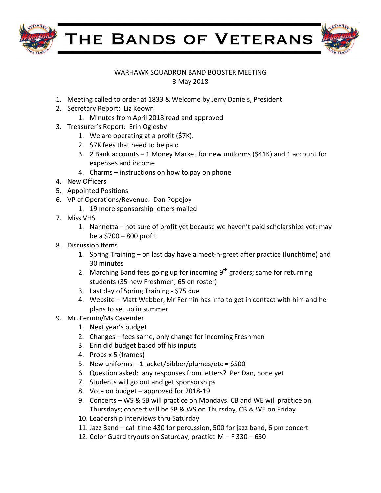

THE BANDS OF VETERANS



## WARHAWK SQUADRON BAND BOOSTER MEETING 3 May 2018

- 1. Meeting called to order at 1833 & Welcome by Jerry Daniels, President
- 2. Secretary Report: Liz Keown
	- 1. Minutes from April 2018 read and approved
- 3. Treasurer's Report: Erin Oglesby
	- 1. We are operating at a profit  $(57K)$ .
	- 2. \$7K fees that need to be paid
	- 3. 2 Bank accounts  $-1$  Money Market for new uniforms (\$41K) and 1 account for expenses and income
	- 4. Charms  $-$  instructions on how to pay on phone
- 4. New Officers
- 5. Appointed Positions
- 6. VP of Operations/Revenue: Dan Popejoy
	- 1. 19 more sponsorship letters mailed
- 7. Miss VHS
	- 1. Nannetta not sure of profit yet because we haven't paid scholarships yet; may be a  $$700 - 800$  profit
- 8. Discussion Items
	- 1. Spring Training  $-$  on last day have a meet-n-greet after practice (lunchtime) and 30 minutes
	- 2. Marching Band fees going up for incoming  $9^{th}$  graders; same for returning students (35 new Freshmen; 65 on roster)
	- 3. Last day of Spring Training \$75 due
	- 4. Website Matt Webber, Mr Fermin has info to get in contact with him and he plans to set up in summer
- 9. Mr. Fermin/Ms Cavender
	- 1. Next year's budget
	- 2. Changes fees same, only change for incoming Freshmen
	- 3. Erin did budget based off his inputs
	- 4. Props x 5 (frames)
	- 5. New uniforms  $-1$  jacket/bibber/plumes/etc = \$500
	- 6. Question asked: any responses from letters? Per Dan, none yet
	- 7. Students will go out and get sponsorships
	- 8. Vote on budget approved for 2018-19
	- 9. Concerts WS & SB will practice on Mondays. CB and WE will practice on Thursdays; concert will be SB & WS on Thursday, CB & WE on Friday
	- 10. Leadership interviews thru Saturday
	- 11. Jazz Band call time 430 for percussion, 500 for jazz band, 6 pm concert
	- 12. Color Guard tryouts on Saturday; practice  $M F 330 630$